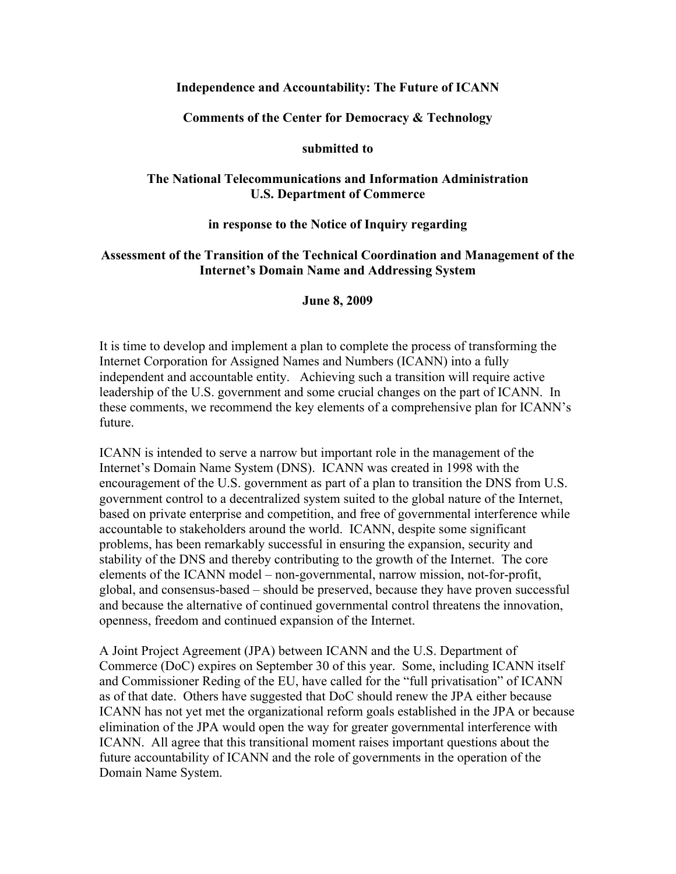### **Independence and Accountability: The Future of ICANN**

#### **Comments of the Center for Democracy & Technology**

#### **submitted to**

### **The National Telecommunications and Information Administration U.S. Department of Commerce**

#### **in response to the Notice of Inquiry regarding**

### **Assessment of the Transition of the Technical Coordination and Management of the Internet's Domain Name and Addressing System**

#### **June 8, 2009**

It is time to develop and implement a plan to complete the process of transforming the Internet Corporation for Assigned Names and Numbers (ICANN) into a fully independent and accountable entity. Achieving such a transition will require active leadership of the U.S. government and some crucial changes on the part of ICANN. In these comments, we recommend the key elements of a comprehensive plan for ICANN's future.

ICANN is intended to serve a narrow but important role in the management of the Internet's Domain Name System (DNS). ICANN was created in 1998 with the encouragement of the U.S. government as part of a plan to transition the DNS from U.S. government control to a decentralized system suited to the global nature of the Internet, based on private enterprise and competition, and free of governmental interference while accountable to stakeholders around the world. ICANN, despite some significant problems, has been remarkably successful in ensuring the expansion, security and stability of the DNS and thereby contributing to the growth of the Internet. The core elements of the ICANN model – non-governmental, narrow mission, not-for-profit, global, and consensus-based – should be preserved, because they have proven successful and because the alternative of continued governmental control threatens the innovation, openness, freedom and continued expansion of the Internet.

A Joint Project Agreement (JPA) between ICANN and the U.S. Department of Commerce (DoC) expires on September 30 of this year. Some, including ICANN itself and Commissioner Reding of the EU, have called for the "full privatisation" of ICANN as of that date. Others have suggested that DoC should renew the JPA either because ICANN has not yet met the organizational reform goals established in the JPA or because elimination of the JPA would open the way for greater governmental interference with ICANN. All agree that this transitional moment raises important questions about the future accountability of ICANN and the role of governments in the operation of the Domain Name System.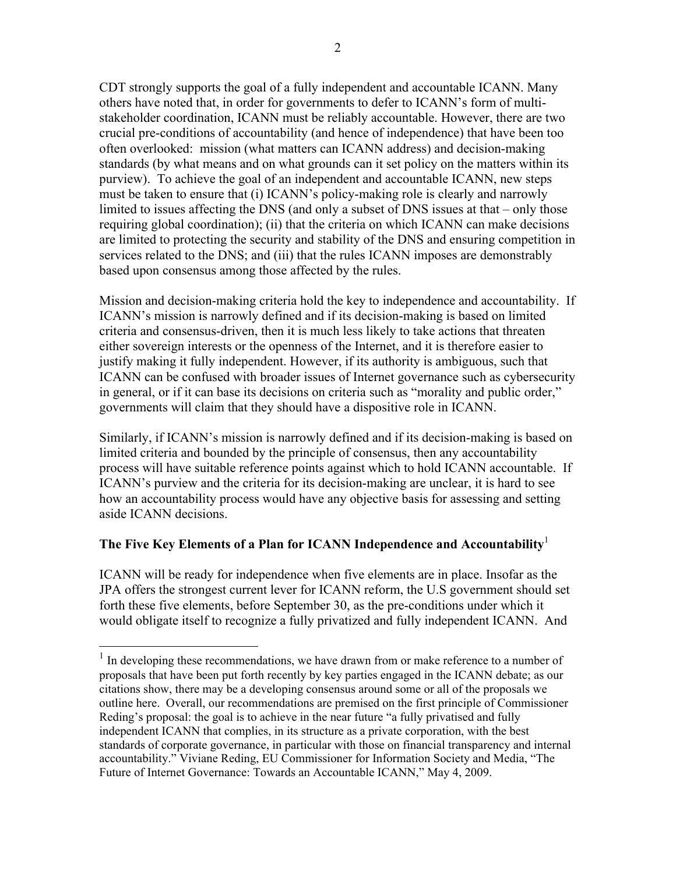CDT strongly supports the goal of a fully independent and accountable ICANN. Many others have noted that, in order for governments to defer to ICANN's form of multistakeholder coordination, ICANN must be reliably accountable. However, there are two crucial pre-conditions of accountability (and hence of independence) that have been too often overlooked: mission (what matters can ICANN address) and decision-making standards (by what means and on what grounds can it set policy on the matters within its purview). To achieve the goal of an independent and accountable ICANN, new steps must be taken to ensure that (i) ICANN's policy-making role is clearly and narrowly limited to issues affecting the DNS (and only a subset of DNS issues at that – only those requiring global coordination); (ii) that the criteria on which ICANN can make decisions are limited to protecting the security and stability of the DNS and ensuring competition in services related to the DNS; and (iii) that the rules ICANN imposes are demonstrably based upon consensus among those affected by the rules.

Mission and decision-making criteria hold the key to independence and accountability. If ICANN's mission is narrowly defined and if its decision-making is based on limited criteria and consensus-driven, then it is much less likely to take actions that threaten either sovereign interests or the openness of the Internet, and it is therefore easier to justify making it fully independent. However, if its authority is ambiguous, such that ICANN can be confused with broader issues of Internet governance such as cybersecurity in general, or if it can base its decisions on criteria such as "morality and public order," governments will claim that they should have a dispositive role in ICANN.

Similarly, if ICANN's mission is narrowly defined and if its decision-making is based on limited criteria and bounded by the principle of consensus, then any accountability process will have suitable reference points against which to hold ICANN accountable. If ICANN's purview and the criteria for its decision-making are unclear, it is hard to see how an accountability process would have any objective basis for assessing and setting aside ICANN decisions.

# **The Five Key Elements of a Plan for ICANN Independence and Accountability**<sup>1</sup>

ICANN will be ready for independence when five elements are in place. Insofar as the JPA offers the strongest current lever for ICANN reform, the U.S government should set forth these five elements, before September 30, as the pre-conditions under which it would obligate itself to recognize a fully privatized and fully independent ICANN. And

<sup>&</sup>lt;sup>1</sup> In developing these recommendations, we have drawn from or make reference to a number of proposals that have been put forth recently by key parties engaged in the ICANN debate; as our citations show, there may be a developing consensus around some or all of the proposals we outline here. Overall, our recommendations are premised on the first principle of Commissioner Reding's proposal: the goal is to achieve in the near future "a fully privatised and fully independent ICANN that complies, in its structure as a private corporation, with the best standards of corporate governance, in particular with those on financial transparency and internal accountability." Viviane Reding, EU Commissioner for Information Society and Media, "The Future of Internet Governance: Towards an Accountable ICANN," May 4, 2009.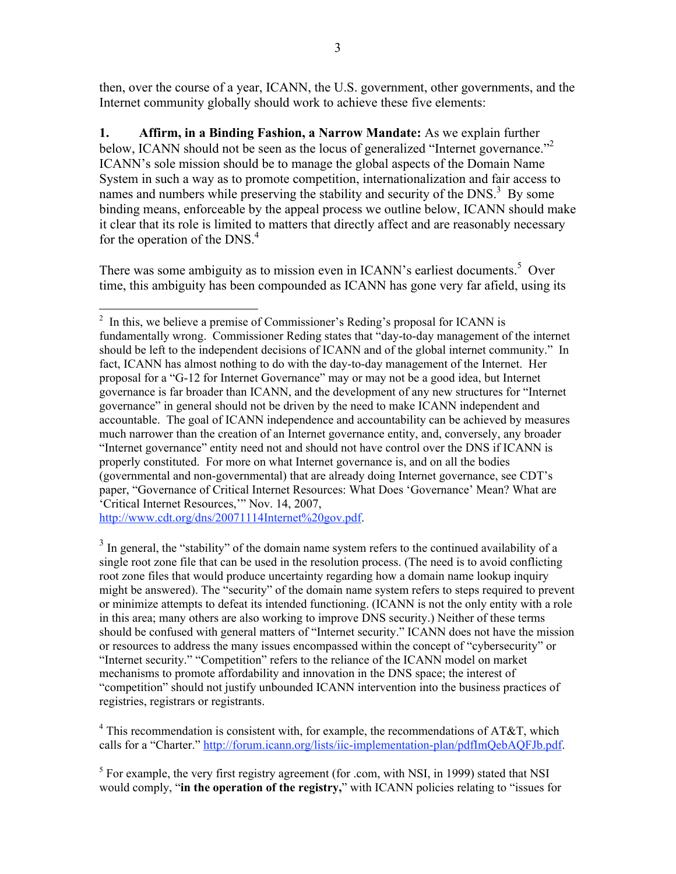then, over the course of a year, ICANN, the U.S. government, other governments, and the Internet community globally should work to achieve these five elements:

**1. Affirm, in a Binding Fashion, a Narrow Mandate:** As we explain further below, ICANN should not be seen as the locus of generalized "Internet governance."<sup>2</sup> ICANN's sole mission should be to manage the global aspects of the Domain Name System in such a way as to promote competition, internationalization and fair access to names and numbers while preserving the stability and security of the DNS.<sup>3</sup> By some binding means, enforceable by the appeal process we outline below, ICANN should make it clear that its role is limited to matters that directly affect and are reasonably necessary for the operation of the DNS. $4$ 

There was some ambiguity as to mission even in ICANN's earliest documents.<sup>5</sup> Over time, this ambiguity has been compounded as ICANN has gone very far afield, using its

http://www.cdt.org/dns/20071114Internet%20gov.pdf.

<sup>3</sup> In general, the "stability" of the domain name system refers to the continued availability of a single root zone file that can be used in the resolution process. (The need is to avoid conflicting root zone files that would produce uncertainty regarding how a domain name lookup inquiry might be answered). The "security" of the domain name system refers to steps required to prevent or minimize attempts to defeat its intended functioning. (ICANN is not the only entity with a role in this area; many others are also working to improve DNS security.) Neither of these terms should be confused with general matters of "Internet security." ICANN does not have the mission or resources to address the many issues encompassed within the concept of "cybersecurity" or "Internet security." "Competition" refers to the reliance of the ICANN model on market mechanisms to promote affordability and innovation in the DNS space; the interest of "competition" should not justify unbounded ICANN intervention into the business practices of registries, registrars or registrants.

 $4$  This recommendation is consistent with, for example, the recommendations of AT&T, which calls for a "Charter." http://forum.icann.org/lists/iic-implementation-plan/pdfImQebAQFJb.pdf.

 $<sup>5</sup>$  For example, the very first registry agreement (for .com, with NSI, in 1999) stated that NSI</sup> would comply, "**in the operation of the registry,**" with ICANN policies relating to "issues for

 $\frac{1}{2}$  $\frac{1}{2}$  In this, we believe a premise of Commissioner's Reding's proposal for ICANN is fundamentally wrong. Commissioner Reding states that "day-to-day management of the internet should be left to the independent decisions of ICANN and of the global internet community." In fact, ICANN has almost nothing to do with the day-to-day management of the Internet. Her proposal for a "G-12 for Internet Governance" may or may not be a good idea, but Internet governance is far broader than ICANN, and the development of any new structures for "Internet governance" in general should not be driven by the need to make ICANN independent and accountable. The goal of ICANN independence and accountability can be achieved by measures much narrower than the creation of an Internet governance entity, and, conversely, any broader "Internet governance" entity need not and should not have control over the DNS if ICANN is properly constituted. For more on what Internet governance is, and on all the bodies (governmental and non-governmental) that are already doing Internet governance, see CDT's paper, "Governance of Critical Internet Resources: What Does 'Governance' Mean? What are 'Critical Internet Resources,'" Nov. 14, 2007,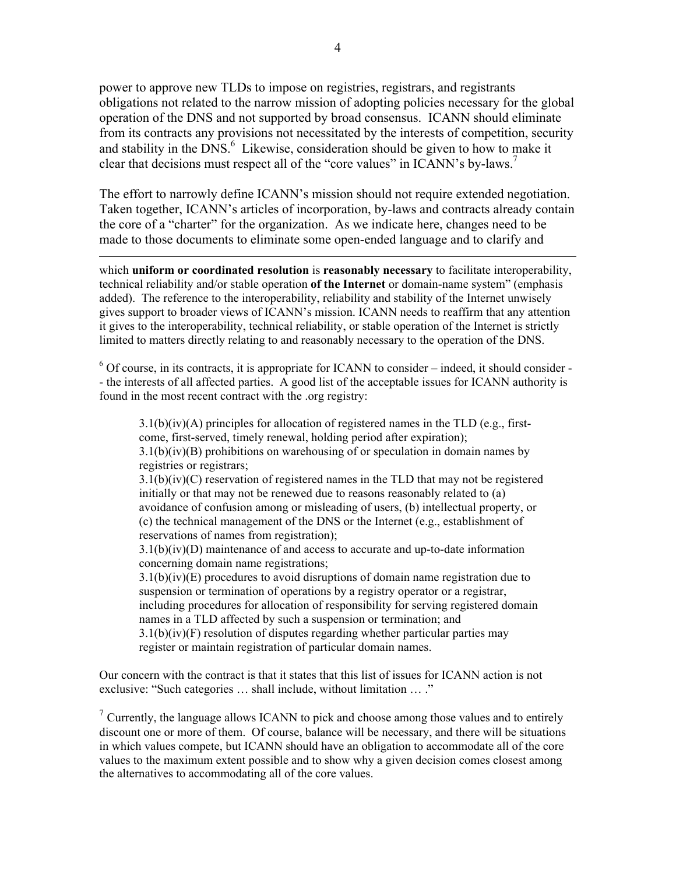power to approve new TLDs to impose on registries, registrars, and registrants obligations not related to the narrow mission of adopting policies necessary for the global operation of the DNS and not supported by broad consensus. ICANN should eliminate from its contracts any provisions not necessitated by the interests of competition, security and stability in the  $DNS<sup>6</sup>$ . Likewise, consideration should be given to how to make it clear that decisions must respect all of the "core values" in ICANN's by-laws.<sup>7</sup>

The effort to narrowly define ICANN's mission should not require extended negotiation. Taken together, ICANN's articles of incorporation, by-laws and contracts already contain the core of a "charter" for the organization. As we indicate here, changes need to be made to those documents to eliminate some open-ended language and to clarify and

 $\overline{a}$ 

which **uniform or coordinated resolution** is **reasonably necessary** to facilitate interoperability, technical reliability and/or stable operation **of the Internet** or domain-name system" (emphasis added). The reference to the interoperability, reliability and stability of the Internet unwisely gives support to broader views of ICANN's mission. ICANN needs to reaffirm that any attention it gives to the interoperability, technical reliability, or stable operation of the Internet is strictly limited to matters directly relating to and reasonably necessary to the operation of the DNS.

 $6$  Of course, in its contracts, it is appropriate for ICANN to consider – indeed, it should consider -- the interests of all affected parties. A good list of the acceptable issues for ICANN authority is found in the most recent contract with the .org registry:

 $3.1(b)(iv)(A)$  principles for allocation of registered names in the TLD (e.g., firstcome, first-served, timely renewal, holding period after expiration);  $3.1(b)(iv)(B)$  prohibitions on warehousing of or speculation in domain names by registries or registrars;

3.1(b)(iv)(C) reservation of registered names in the TLD that may not be registered initially or that may not be renewed due to reasons reasonably related to (a) avoidance of confusion among or misleading of users, (b) intellectual property, or (c) the technical management of the DNS or the Internet (e.g., establishment of reservations of names from registration);

3.1(b)(iv)(D) maintenance of and access to accurate and up-to-date information concerning domain name registrations;

 $3.1(b)(iv)(E)$  procedures to avoid disruptions of domain name registration due to suspension or termination of operations by a registry operator or a registrar, including procedures for allocation of responsibility for serving registered domain names in a TLD affected by such a suspension or termination; and  $3.1(b)(iv)(F)$  resolution of disputes regarding whether particular parties may

register or maintain registration of particular domain names.

Our concern with the contract is that it states that this list of issues for ICANN action is not exclusive: "Such categories … shall include, without limitation … ."

 $7$  Currently, the language allows ICANN to pick and choose among those values and to entirely discount one or more of them. Of course, balance will be necessary, and there will be situations in which values compete, but ICANN should have an obligation to accommodate all of the core values to the maximum extent possible and to show why a given decision comes closest among the alternatives to accommodating all of the core values.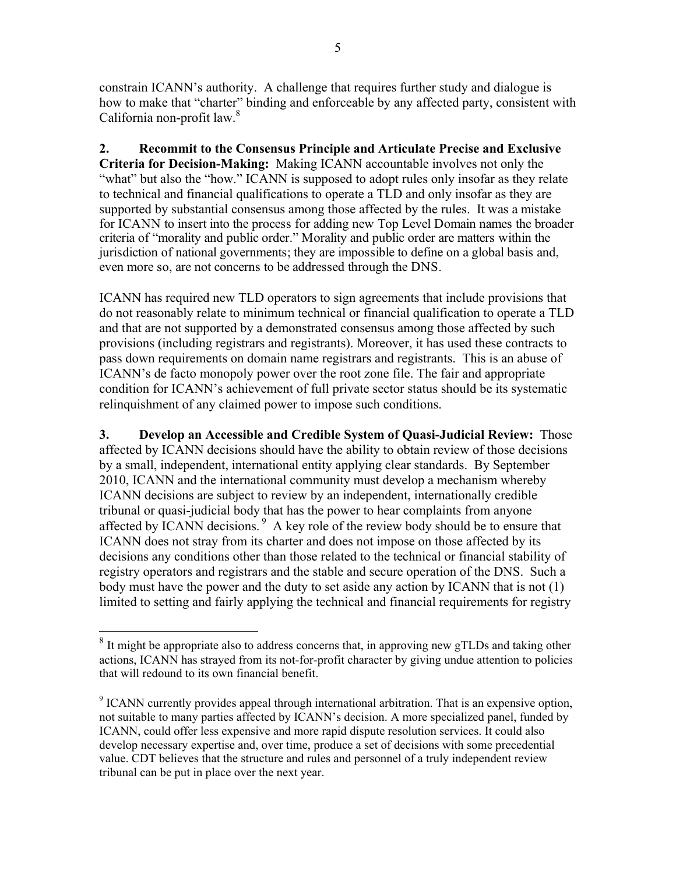constrain ICANN's authority. A challenge that requires further study and dialogue is how to make that "charter" binding and enforceable by any affected party, consistent with California non-profit law.<sup>8</sup>

**2. Recommit to the Consensus Principle and Articulate Precise and Exclusive Criteria for Decision-Making:** Making ICANN accountable involves not only the "what" but also the "how." ICANN is supposed to adopt rules only insofar as they relate to technical and financial qualifications to operate a TLD and only insofar as they are supported by substantial consensus among those affected by the rules. It was a mistake for ICANN to insert into the process for adding new Top Level Domain names the broader criteria of "morality and public order." Morality and public order are matters within the jurisdiction of national governments; they are impossible to define on a global basis and, even more so, are not concerns to be addressed through the DNS.

ICANN has required new TLD operators to sign agreements that include provisions that do not reasonably relate to minimum technical or financial qualification to operate a TLD and that are not supported by a demonstrated consensus among those affected by such provisions (including registrars and registrants). Moreover, it has used these contracts to pass down requirements on domain name registrars and registrants. This is an abuse of ICANN's de facto monopoly power over the root zone file. The fair and appropriate condition for ICANN's achievement of full private sector status should be its systematic relinquishment of any claimed power to impose such conditions.

**3. Develop an Accessible and Credible System of Quasi-Judicial Review:** Those affected by ICANN decisions should have the ability to obtain review of those decisions by a small, independent, international entity applying clear standards. By September 2010, ICANN and the international community must develop a mechanism whereby ICANN decisions are subject to review by an independent, internationally credible tribunal or quasi-judicial body that has the power to hear complaints from anyone affected by ICANN decisions.<sup>9</sup> A key role of the review body should be to ensure that ICANN does not stray from its charter and does not impose on those affected by its decisions any conditions other than those related to the technical or financial stability of registry operators and registrars and the stable and secure operation of the DNS. Such a body must have the power and the duty to set aside any action by ICANN that is not (1) limited to setting and fairly applying the technical and financial requirements for registry

<sup>&</sup>lt;sup>8</sup> It might be appropriate also to address concerns that, in approving new gTLDs and taking other actions, ICANN has strayed from its not-for-profit character by giving undue attention to policies that will redound to its own financial benefit.

<sup>&</sup>lt;sup>9</sup> ICANN currently provides appeal through international arbitration. That is an expensive option, not suitable to many parties affected by ICANN's decision. A more specialized panel, funded by ICANN, could offer less expensive and more rapid dispute resolution services. It could also develop necessary expertise and, over time, produce a set of decisions with some precedential value. CDT believes that the structure and rules and personnel of a truly independent review tribunal can be put in place over the next year.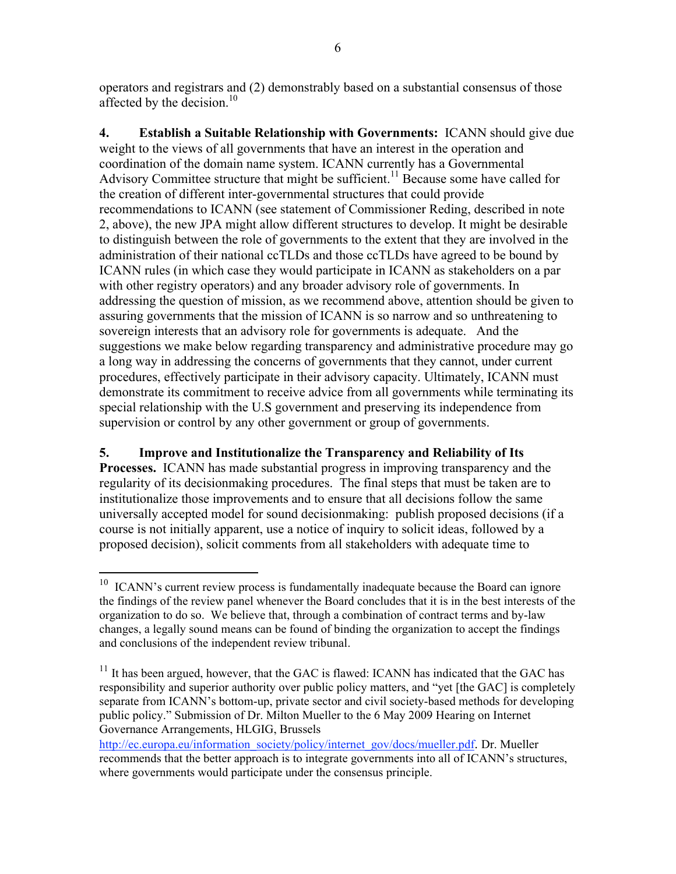operators and registrars and (2) demonstrably based on a substantial consensus of those affected by the decision.<sup>10</sup>

**4. Establish a Suitable Relationship with Governments:** ICANN should give due weight to the views of all governments that have an interest in the operation and coordination of the domain name system. ICANN currently has a Governmental Advisory Committee structure that might be sufficient.<sup>11</sup> Because some have called for the creation of different inter-governmental structures that could provide recommendations to ICANN (see statement of Commissioner Reding, described in note 2, above), the new JPA might allow different structures to develop. It might be desirable to distinguish between the role of governments to the extent that they are involved in the administration of their national ccTLDs and those ccTLDs have agreed to be bound by ICANN rules (in which case they would participate in ICANN as stakeholders on a par with other registry operators) and any broader advisory role of governments. In addressing the question of mission, as we recommend above, attention should be given to assuring governments that the mission of ICANN is so narrow and so unthreatening to sovereign interests that an advisory role for governments is adequate. And the suggestions we make below regarding transparency and administrative procedure may go a long way in addressing the concerns of governments that they cannot, under current procedures, effectively participate in their advisory capacity. Ultimately, ICANN must demonstrate its commitment to receive advice from all governments while terminating its special relationship with the U.S government and preserving its independence from supervision or control by any other government or group of governments.

# **5. Improve and Institutionalize the Transparency and Reliability of Its**

**Processes.** ICANN has made substantial progress in improving transparency and the regularity of its decisionmaking procedures. The final steps that must be taken are to institutionalize those improvements and to ensure that all decisions follow the same universally accepted model for sound decisionmaking: publish proposed decisions (if a course is not initially apparent, use a notice of inquiry to solicit ideas, followed by a proposed decision), solicit comments from all stakeholders with adequate time to

<sup>&</sup>lt;sup>10</sup> ICANN's current review process is fundamentally inadequate because the Board can ignore the findings of the review panel whenever the Board concludes that it is in the best interests of the organization to do so. We believe that, through a combination of contract terms and by-law changes, a legally sound means can be found of binding the organization to accept the findings and conclusions of the independent review tribunal.

 $11$  It has been argued, however, that the GAC is flawed: ICANN has indicated that the GAC has responsibility and superior authority over public policy matters, and "yet [the GAC] is completely separate from ICANN's bottom-up, private sector and civil society-based methods for developing public policy." Submission of Dr. Milton Mueller to the 6 May 2009 Hearing on Internet Governance Arrangements, HLGIG, Brussels

http://ec.europa.eu/information\_society/policy/internet\_gov/docs/mueller.pdf. Dr. Mueller recommends that the better approach is to integrate governments into all of ICANN's structures, where governments would participate under the consensus principle.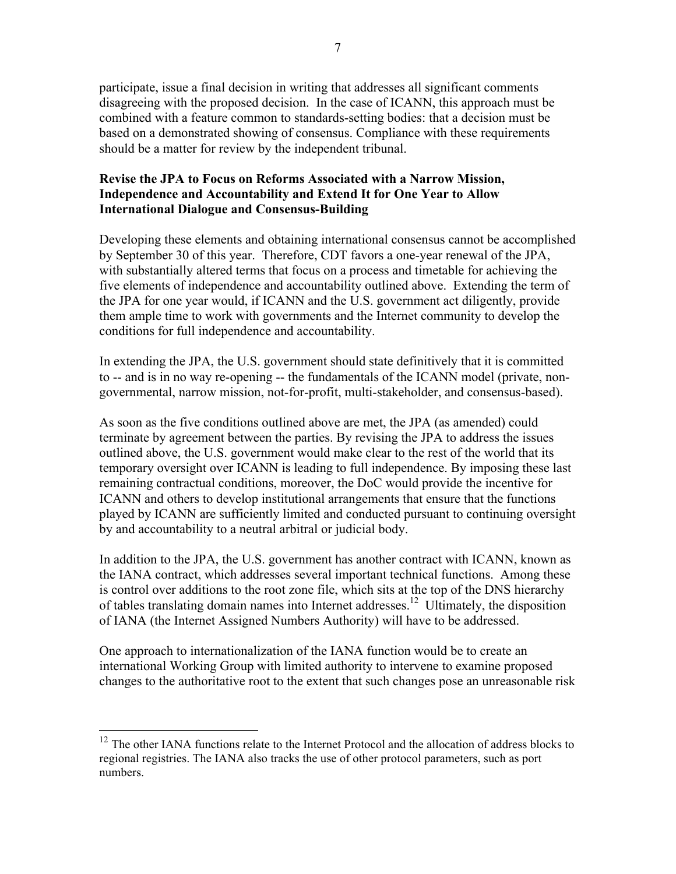participate, issue a final decision in writing that addresses all significant comments disagreeing with the proposed decision. In the case of ICANN, this approach must be combined with a feature common to standards-setting bodies: that a decision must be based on a demonstrated showing of consensus. Compliance with these requirements should be a matter for review by the independent tribunal.

### **Revise the JPA to Focus on Reforms Associated with a Narrow Mission, Independence and Accountability and Extend It for One Year to Allow International Dialogue and Consensus-Building**

Developing these elements and obtaining international consensus cannot be accomplished by September 30 of this year. Therefore, CDT favors a one-year renewal of the JPA, with substantially altered terms that focus on a process and timetable for achieving the five elements of independence and accountability outlined above. Extending the term of the JPA for one year would, if ICANN and the U.S. government act diligently, provide them ample time to work with governments and the Internet community to develop the conditions for full independence and accountability.

In extending the JPA, the U.S. government should state definitively that it is committed to -- and is in no way re-opening -- the fundamentals of the ICANN model (private, nongovernmental, narrow mission, not-for-profit, multi-stakeholder, and consensus-based).

As soon as the five conditions outlined above are met, the JPA (as amended) could terminate by agreement between the parties. By revising the JPA to address the issues outlined above, the U.S. government would make clear to the rest of the world that its temporary oversight over ICANN is leading to full independence. By imposing these last remaining contractual conditions, moreover, the DoC would provide the incentive for ICANN and others to develop institutional arrangements that ensure that the functions played by ICANN are sufficiently limited and conducted pursuant to continuing oversight by and accountability to a neutral arbitral or judicial body.

In addition to the JPA, the U.S. government has another contract with ICANN, known as the IANA contract, which addresses several important technical functions. Among these is control over additions to the root zone file, which sits at the top of the DNS hierarchy of tables translating domain names into Internet addresses.<sup>12</sup> Ultimately, the disposition of IANA (the Internet Assigned Numbers Authority) will have to be addressed.

One approach to internationalization of the IANA function would be to create an international Working Group with limited authority to intervene to examine proposed changes to the authoritative root to the extent that such changes pose an unreasonable risk

<sup>&</sup>lt;sup>12</sup> The other IANA functions relate to the Internet Protocol and the allocation of address blocks to regional registries. The IANA also tracks the use of other protocol parameters, such as port numbers.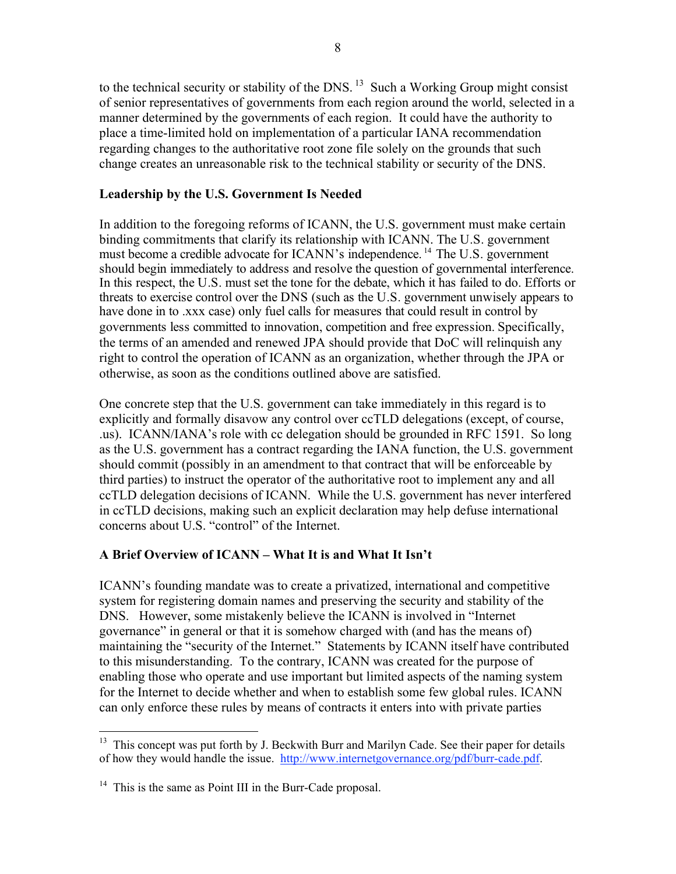to the technical security or stability of the DNS.<sup>13</sup> Such a Working Group might consist of senior representatives of governments from each region around the world, selected in a manner determined by the governments of each region. It could have the authority to place a time-limited hold on implementation of a particular IANA recommendation regarding changes to the authoritative root zone file solely on the grounds that such change creates an unreasonable risk to the technical stability or security of the DNS.

## **Leadership by the U.S. Government Is Needed**

In addition to the foregoing reforms of ICANN, the U.S. government must make certain binding commitments that clarify its relationship with ICANN. The U.S. government must become a credible advocate for ICANN's independence. 14 The U.S. government should begin immediately to address and resolve the question of governmental interference. In this respect, the U.S. must set the tone for the debate, which it has failed to do. Efforts or threats to exercise control over the DNS (such as the U.S. government unwisely appears to have done in to .xxx case) only fuel calls for measures that could result in control by governments less committed to innovation, competition and free expression. Specifically, the terms of an amended and renewed JPA should provide that DoC will relinquish any right to control the operation of ICANN as an organization, whether through the JPA or otherwise, as soon as the conditions outlined above are satisfied.

One concrete step that the U.S. government can take immediately in this regard is to explicitly and formally disavow any control over ccTLD delegations (except, of course, .us). ICANN/IANA's role with cc delegation should be grounded in RFC 1591. So long as the U.S. government has a contract regarding the IANA function, the U.S. government should commit (possibly in an amendment to that contract that will be enforceable by third parties) to instruct the operator of the authoritative root to implement any and all ccTLD delegation decisions of ICANN. While the U.S. government has never interfered in ccTLD decisions, making such an explicit declaration may help defuse international concerns about U.S. "control" of the Internet.

# **A Brief Overview of ICANN – What It is and What It Isn't**

ICANN's founding mandate was to create a privatized, international and competitive system for registering domain names and preserving the security and stability of the DNS. However, some mistakenly believe the ICANN is involved in "Internet governance" in general or that it is somehow charged with (and has the means of) maintaining the "security of the Internet." Statements by ICANN itself have contributed to this misunderstanding. To the contrary, ICANN was created for the purpose of enabling those who operate and use important but limited aspects of the naming system for the Internet to decide whether and when to establish some few global rules. ICANN can only enforce these rules by means of contracts it enters into with private parties

 $13$  This concept was put forth by J. Beckwith Burr and Marilyn Cade. See their paper for details of how they would handle the issue. http://www.internetgovernance.org/pdf/burr-cade.pdf.

 $14$  This is the same as Point III in the Burr-Cade proposal.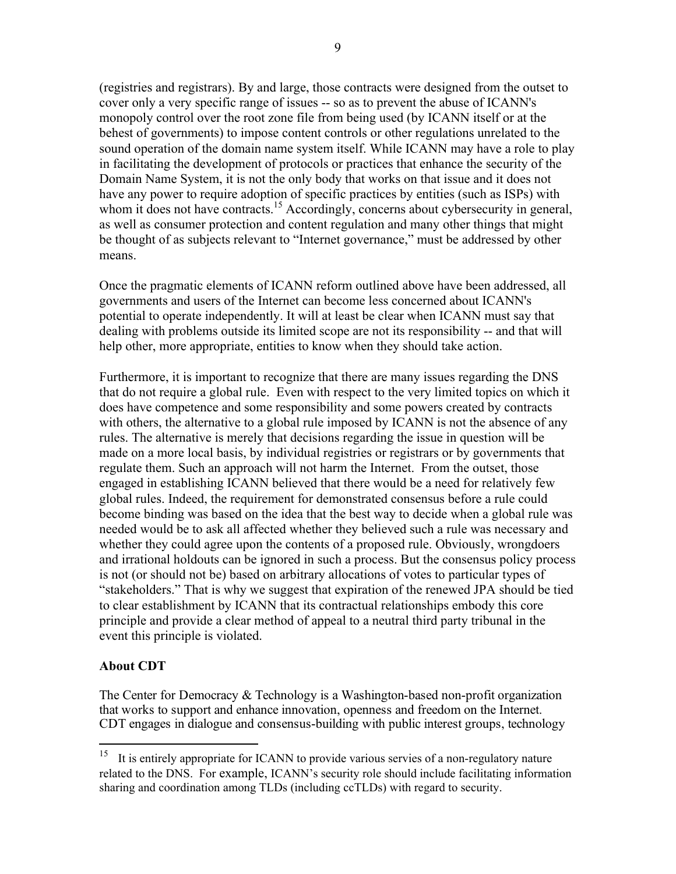(registries and registrars). By and large, those contracts were designed from the outset to cover only a very specific range of issues -- so as to prevent the abuse of ICANN's monopoly control over the root zone file from being used (by ICANN itself or at the behest of governments) to impose content controls or other regulations unrelated to the sound operation of the domain name system itself. While ICANN may have a role to play in facilitating the development of protocols or practices that enhance the security of the Domain Name System, it is not the only body that works on that issue and it does not have any power to require adoption of specific practices by entities (such as ISPs) with whom it does not have contracts.<sup>15</sup> Accordingly, concerns about cybersecurity in general,

be thought of as subjects relevant to "Internet governance," must be addressed by other means. Once the pragmatic elements of ICANN reform outlined above have been addressed, all

as well as consumer protection and content regulation and many other things that might

governments and users of the Internet can become less concerned about ICANN's potential to operate independently. It will at least be clear when ICANN must say that dealing with problems outside its limited scope are not its responsibility -- and that will help other, more appropriate, entities to know when they should take action.

Furthermore, it is important to recognize that there are many issues regarding the DNS that do not require a global rule. Even with respect to the very limited topics on which it does have competence and some responsibility and some powers created by contracts with others, the alternative to a global rule imposed by ICANN is not the absence of any rules. The alternative is merely that decisions regarding the issue in question will be made on a more local basis, by individual registries or registrars or by governments that regulate them. Such an approach will not harm the Internet. From the outset, those engaged in establishing ICANN believed that there would be a need for relatively few global rules. Indeed, the requirement for demonstrated consensus before a rule could become binding was based on the idea that the best way to decide when a global rule was needed would be to ask all affected whether they believed such a rule was necessary and whether they could agree upon the contents of a proposed rule. Obviously, wrongdoers and irrational holdouts can be ignored in such a process. But the consensus policy process is not (or should not be) based on arbitrary allocations of votes to particular types of "stakeholders." That is why we suggest that expiration of the renewed JPA should be tied to clear establishment by ICANN that its contractual relationships embody this core principle and provide a clear method of appeal to a neutral third party tribunal in the event this principle is violated.

# **About CDT**

The Center for Democracy & Technology is a Washington-based non-profit organization that works to support and enhance innovation, openness and freedom on the Internet. CDT engages in dialogue and consensus-building with public interest groups, technology

<sup>&</sup>lt;sup>15</sup> It is entirely appropriate for ICANN to provide various servies of a non-regulatory nature related to the DNS. For example, ICANN's security role should include facilitating information sharing and coordination among TLDs (including ccTLDs) with regard to security.